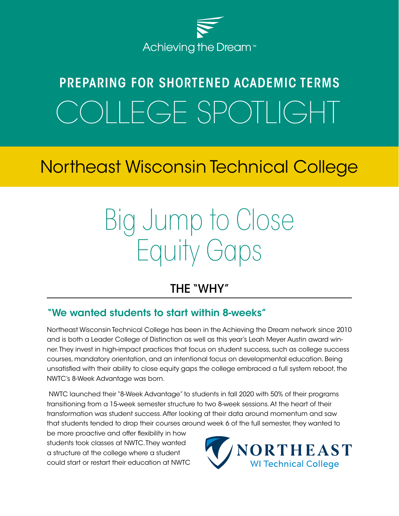

## PREPARING FOR SHORTENED ACADEMIC TERMS OLLEGE SPOTLIGHT

### Northeast Wisconsin Technical College

# Big Jump to Close Equity Gaps

#### THE "WHY"

#### "We wanted students to start within 8-weeks"

Northeast Wisconsin Technical College has been in the Achieving the Dream network since 2010 and is both a Leader College of Distinction as well as this year's Leah Meyer Austin award winner. They invest in high-impact practices that focus on student success, such as college success courses, mandatory orientation, and an intentional focus on developmental education. Being unsatisfied with their ability to close equity gaps the college embraced a full system reboot, the NWTC's 8-Week Advantage was born.

 NWTC launched their "8-Week Advantage" to students in fall 2020 with 50% of their programs transitioning from a 15-week semester structure to two 8-week sessions. At the heart of their transformation was student success. After looking at their data around momentum and saw that students tended to drop their courses around week 6 of the full semester, they wanted to

be more proactive and offer flexibility in how students took classes at NWTC. They wanted a structure at the college where a student could start or restart their education at NWTC

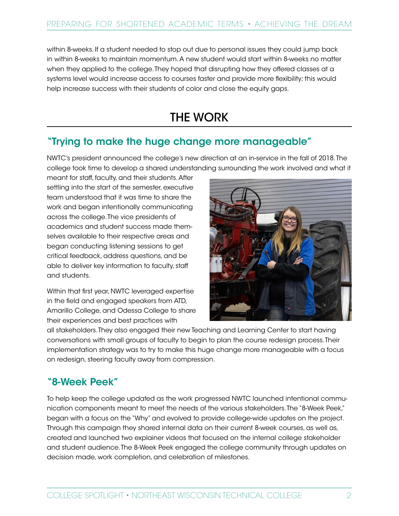within 8-weeks. If a student needed to stop out due to personal issues they could jump back in within 8-weeks to maintain momentum. A new student would start within 8-weeks no matter when they applied to the college. They hoped that disrupting how they offered classes at a systems level would increase access to courses faster and provide more flexibility; this would help increase success with their students of color and close the equity gaps.

#### THE WORK

#### "Trying to make the huge change more manageable"

NWTC's president announced the college's new direction at an in-service in the fall of 2018. The college took time to develop a shared understanding surrounding the work involved and what it

meant for staff, faculty, and their students. After settling into the start of the semester, executive team understood that it was time to share the work and began intentionally communicating across the college. The vice presidents of academics and student success made themselves available to their respective areas and began conducting listening sessions to get critical feedback, address questions, and be able to deliver key information to faculty, staff and students.

Within that first year, NWTC leveraged expertise in the field and engaged speakers from ATD, Amarillo College, and Odessa College to share their experiences and best practices with



all stakeholders. They also engaged their new Teaching and Learning Center to start having conversations with small groups of faculty to begin to plan the course redesign process. Their implementation strategy was to try to make this huge change more manageable with a focus on redesign, steering faculty away from compression.

#### "8-Week Peek"

To help keep the college updated as the work progressed NWTC launched intentional communication components meant to meet the needs of the various stakeholders. The "8-Week Peek," began with a focus on the "Why" and evolved to provide college-wide updates on the project. Through this campaign they shared internal data on their current 8-week courses, as well as, created and launched two explainer videos that focused on the internal college stakeholder and student audience. The 8-Week Peek engaged the college community through updates on decision made, work completion, and celebration of milestones.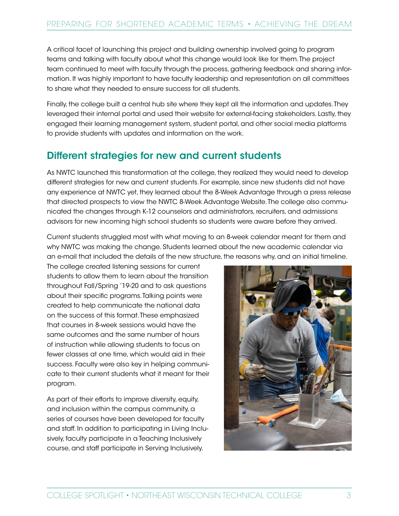A critical facet of launching this project and building ownership involved going to program teams and talking with faculty about what this change would look like for them. The project team continued to meet with faculty through the process, gathering feedback and sharing information. It was highly important to have faculty leadership and representation on all committees to share what they needed to ensure success for all students.

Finally, the college built a central hub site where they kept all the information and updates. They leveraged their internal portal and used their website for external-facing stakeholders. Lastly, they engaged their learning management system, student portal, and other social media platforms to provide students with updates and information on the work.

#### Different strategies for new and current students

As NWTC launched this transformation at the college, they realized they would need to develop different strategies for new and current students. For example, since new students did not have any experience at NWTC yet, they learned about the 8-Week Advantage through a press release that directed prospects to view the [NWTC 8-Week Advantage Website.](https://www.nwtc.edu/future-students/flexed/8-week-advantage) The college also communicated the changes through K-12 counselors and administrators, recruiters, and admissions advisors for new incoming high school students so students were aware before they arrived.

Current students struggled most with what moving to an 8-week calendar meant for them and why NWTC was making the change. Students learned about the new academic calendar via an e-mail that included the details of the new structure, the reasons why, and an initial timeline.

The college created listening sessions for current students to allow them to learn about the transition throughout Fall/Spring '19-20 and to ask questions about their specific programs. Talking points were created to help communicate the national data on the success of this format. These emphasized that courses in 8-week sessions would have the same outcomes and the same number of hours of instruction while allowing students to focus on fewer classes at one time, which would aid in their success. Faculty were also key in helping communicate to their current students what it meant for their program.

As part of their efforts to improve diversity, equity, and inclusion within the campus community, a series of courses have been developed for faculty and staff. In addition to participating in Living Inclusively, faculty participate in a Teaching Inclusively course, and staff participate in Serving Inclusively.